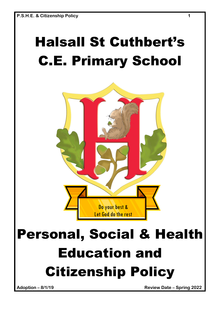# Halsall St Cuthbert's C.E. Primary School



Citizenship Policy

**Adoption – 8/1/19 Review Date – Spring 2022**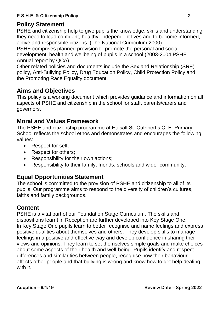## **Policy Statement**

PSHE and citizenship help to give pupils the knowledge, skills and understanding they need to lead confident, healthy, independent lives and to become informed, active and responsible citizens. (The National Curriculum 2000).

PSHE comprises planned provision to promote the personal and social development, health and wellbeing of pupils in a school (2003-2004 PSHE Annual report by QCA).

Other related policies and documents include the Sex and Relationship (SRE) policy, Anti-Bullying Policy, Drug Education Policy, Child Protection Policy and the Promoting Race Equality document.

## **Aims and Objectives**

This policy is a working document which provides guidance and information on all aspects of PSHE and citizenship in the school for staff, parents/carers and governors.

## **Moral and Values Framework**

The PSHE and citizenship programme at Halsall St. Cuthbert's C. E. Primary School reflects the school ethos and demonstrates and encourages the following values:

- Respect for self;
- Respect for others;
- Responsibility for their own actions;
- Responsibility to their family, friends, schools and wider community.

## **Equal Opportunities Statement**

The school is committed to the provision of PSHE and citizenship to all of its pupils. Our programme aims to respond to the diversity of children's cultures, faiths and family backgrounds.

### **Content**

PSHE is a vital part of our Foundation Stage Curriculum. The skills and dispositions learnt in Reception are further developed into Key Stage One. In Key Stage One pupils learn to better recognise and name feelings and express positive qualities about themselves and others. They develop skills to manage feelings in a positive and effective way and develop confidence in sharing their views and opinions. They learn to set themselves simple goals and make choices about some aspects of their health and well-being. Pupils identify and respect differences and similarities between people, recognise how their behaviour affects other people and that bullying is wrong and know how to get help dealing with it.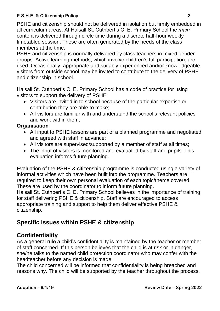#### **P.S.H.E. & Citizenship Policy 3**

PSHE and citizenship should not be delivered in isolation but firmly embedded in all curriculum areas. At Halsall St. Cuthbert's C. E. Primary School the *main*  content is delivered through circle time during a discrete half-hour weekly timetabled session. These are often generated by the needs of the class members at the time.

PSHE and citizenship is normally delivered by class teachers in mixed gender groups. Active learning methods, which involve children's full participation, are used. Occasionally, appropriate and suitably experienced and/or knowledgeable visitors from outside school may be invited to contribute to the delivery of PSHE and citizenship in school.

Halsall St. Cuthbert's C. E. Primary School has a code of practice for using visitors to support the delivery of PSHE:

- Visitors are invited in to school because of the particular expertise or contribution they are able to make;
- All visitors are familiar with and understand the school's relevant policies and work within them;

#### **Organisation**

- All input to PSHE lessons are part of a planned programme and negotiated and agreed with staff in advance;
- All visitors are supervised/supported by a member of staff at all times;
- The input of visitors is monitored and evaluated by staff and pupils. This evaluation informs future planning.

Evaluation of the PSHE & citizenship programme is conducted using a variety of informal activities which have been built into the programme. Teachers are required to keep their own personal evaluation of each topic/theme covered. These are used by the coordinator to inform future planning. Halsall St. Cuthbert's C. E. Primary School believes in the importance of training for staff delivering PSHE & citizenship. Staff are encouraged to access appropriate training and support to help them deliver effective PSHE & citizenship.

# **Specific Issues within PSHE & citizenship**

## **Confidentiality**

As a general rule a child's confidentiality is maintained by the teacher or member of staff concerned. If this person believes that the child is at risk or in danger, she/he talks to the named child protection coordinator who may confer with the headteacher before any decision is made.

The child concerned will be informed that confidentiality is being breached and reasons why. The child will be supported by the teacher throughout the process.